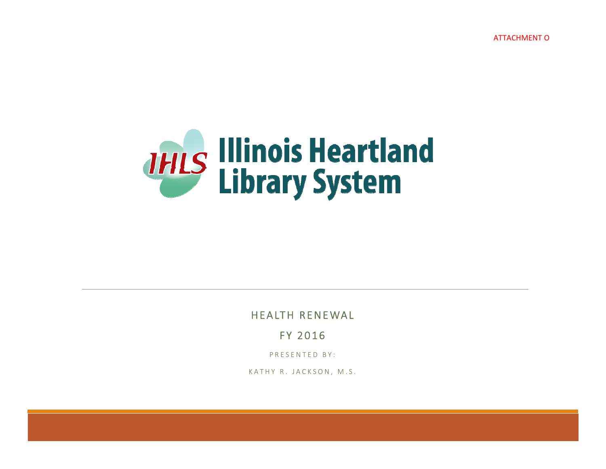ATTACHMENT O



HEALTH RENEWAL

FY 2016

PRESENTED BY:

KATHY R. JACKSON*,* M.S.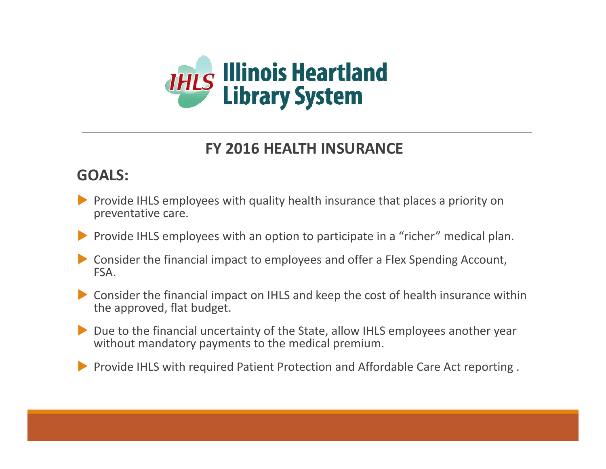

### **FY 2016 HEALTH INSURANCE**

### **GOALS:**

- **Provide IHLS employees with quality health insurance that places a priority on** preventative care.
- **Provide IHLS employees with an option to participate in a "richer" medical plan.**
- Consider the financial impact to employees and offer <sup>a</sup> Flex Spending Account, FSA.
- Consider the financial impact on IHLS and keep the cost of health insurance within the approved, flat budget.
- Due to the financial uncertainty of the State, allow IHLS employees another year without mandatory payments to the medical premium.
- **Provide IHLS with required Patient Protection and Affordable Care Act reporting.**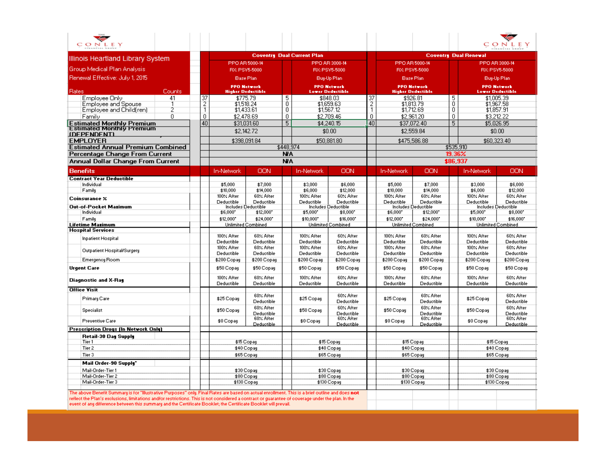| THE<br>CONLEY                                                                                                                                                                                                                                                                                                                                                                                                           |                |                                        |                                                |            |                                   |                                               |                                                |                          |                                                |                     |                           | CONLEY                                        |  |
|-------------------------------------------------------------------------------------------------------------------------------------------------------------------------------------------------------------------------------------------------------------------------------------------------------------------------------------------------------------------------------------------------------------------------|----------------|----------------------------------------|------------------------------------------------|------------|-----------------------------------|-----------------------------------------------|------------------------------------------------|--------------------------|------------------------------------------------|---------------------|---------------------------|-----------------------------------------------|--|
|                                                                                                                                                                                                                                                                                                                                                                                                                         |                |                                        |                                                |            |                                   |                                               |                                                |                          |                                                |                     |                           |                                               |  |
| Illinois Heartland Library System                                                                                                                                                                                                                                                                                                                                                                                       |                |                                        | PPO AR 5000-14                                 |            | <b>Coventry Dual Current Plan</b> |                                               | <b>Coventry Dual Renewal</b><br>PPO AR 5000-14 |                          |                                                |                     |                           |                                               |  |
| Group Medical Plan Analysis                                                                                                                                                                                                                                                                                                                                                                                             |                |                                        | RX: PSV5-5000                                  |            |                                   | PPO AR 3000-14                                |                                                |                          | RX: PSV5-5000                                  |                     |                           | PPO AR 3000-14                                |  |
|                                                                                                                                                                                                                                                                                                                                                                                                                         |                |                                        |                                                |            | RX: PSV5-5000                     |                                               |                                                |                          |                                                |                     |                           | RX: PSV5-5000                                 |  |
| Renewal Effective: July 1, 2015                                                                                                                                                                                                                                                                                                                                                                                         |                |                                        | <b>Base Plan</b>                               |            |                                   | Buy-Up Plan                                   |                                                |                          | <b>Base Plan</b>                               |                     |                           | Buy-Up Plan                                   |  |
| Counts<br><b>Rates</b>                                                                                                                                                                                                                                                                                                                                                                                                  |                |                                        | <b>PPO Network</b><br><b>Higher Deductible</b> |            |                                   | <b>PPO Network</b><br><b>Lower Deductible</b> |                                                |                          | <b>PPO Network</b><br><b>Higher Deductible</b> |                     |                           | <b>PPO Network</b><br><b>Lower Deductible</b> |  |
| Employee Only<br>41                                                                                                                                                                                                                                                                                                                                                                                                     | 37             |                                        | \$775.79                                       | 5          |                                   | \$848.03                                      | 37                                             |                          | \$926.81                                       | 5                   |                           | \$1,005.39                                    |  |
| Employee and Spouse<br>2                                                                                                                                                                                                                                                                                                                                                                                                | $\frac{2}{1}$  |                                        | \$1,518,24                                     | 0<br>0     |                                   | \$1,659.63                                    | $\overline{2}$<br>$\overline{1}$               |                          | \$1,813.79                                     | $\overline{0}$<br>n |                           | \$1,967.58                                    |  |
| Employee and Child(ren)<br>0.                                                                                                                                                                                                                                                                                                                                                                                           | $\overline{0}$ |                                        | \$1,433.61                                     | 0          |                                   | \$1,567.12<br>\$2,709.46                      | 0                                              |                          | \$1,712.69                                     | $\mathbf 0$         |                           | \$1,857.91                                    |  |
| Family                                                                                                                                                                                                                                                                                                                                                                                                                  | 40             |                                        | \$2,478.69<br>\$31,031.60                      | 5          |                                   | \$4,240.15                                    | 40                                             |                          | \$2,961.20<br>\$37,072.40                      | 5                   |                           | \$3,212.22<br>\$5.026.95                      |  |
| <b>Estimated Monthly Premium</b><br><b>Estimated Monthly Premium</b>                                                                                                                                                                                                                                                                                                                                                    |                |                                        |                                                |            |                                   |                                               |                                                |                          |                                                |                     |                           |                                               |  |
| <u>IDEPENDENTI</u>                                                                                                                                                                                                                                                                                                                                                                                                      |                |                                        | \$2,142.72                                     |            |                                   | \$0.00                                        |                                                |                          | \$2,559.84                                     |                     |                           | \$0.00                                        |  |
| <b>EMPLOYER</b>                                                                                                                                                                                                                                                                                                                                                                                                         |                |                                        | \$398.091.84                                   |            |                                   | \$50,881.80                                   |                                                |                          | \$475,586.88                                   |                     |                           | \$60,323.40                                   |  |
| <b>Estimated Annual Premium Combined</b>                                                                                                                                                                                                                                                                                                                                                                                |                |                                        |                                                | \$448.974  |                                   |                                               |                                                |                          |                                                |                     | \$535,910                 |                                               |  |
| Percentage Change From Current                                                                                                                                                                                                                                                                                                                                                                                          |                |                                        |                                                | NA         |                                   |                                               |                                                |                          |                                                |                     | 19.36%                    |                                               |  |
| Annual Dollar Change From Current                                                                                                                                                                                                                                                                                                                                                                                       |                |                                        |                                                | <b>NIA</b> |                                   |                                               |                                                |                          |                                                |                     | \$86,937                  |                                               |  |
| <b>Benefits</b>                                                                                                                                                                                                                                                                                                                                                                                                         |                | <b>In-Network</b>                      | OON                                            |            | In-Network                        | OON                                           |                                                | <b>In-Network</b>        | OON                                            |                     | <b>In-Network</b>         | OON                                           |  |
| <b>Contract Year Deductible</b>                                                                                                                                                                                                                                                                                                                                                                                         |                |                                        |                                                |            |                                   |                                               |                                                |                          |                                                |                     |                           |                                               |  |
| Individual                                                                                                                                                                                                                                                                                                                                                                                                              |                | \$5,000                                | \$7,000                                        |            | \$3,000                           | \$6,000                                       |                                                | \$5,000                  | \$7,000                                        |                     | \$3,000                   | \$6,000                                       |  |
| Family                                                                                                                                                                                                                                                                                                                                                                                                                  |                | \$10,000<br>100% After                 | \$14,000<br>60% After                          |            | \$6,000<br>100% After             | \$12,000<br>60% After                         |                                                | \$10,000<br>100% After   | \$14,000<br>60% After                          |                     | \$6,000<br>100% After     | \$12,000<br>60% After                         |  |
| Coinsurance X                                                                                                                                                                                                                                                                                                                                                                                                           |                | Deductible                             | Deductible                                     |            | Deductible                        | Deductible                                    |                                                | Deductible               | Deductible                                     |                     | Deductible                | Deductible                                    |  |
| Out-of-Pocket Maximum                                                                                                                                                                                                                                                                                                                                                                                                   |                |                                        | Includes Deductible                            |            |                                   | Includes Deductible                           |                                                |                          | Includes Deductible                            |                     |                           | Includes Deductible                           |  |
| Individual                                                                                                                                                                                                                                                                                                                                                                                                              |                | \$6,000*                               | \$12,000                                       |            | \$5,000*                          | \$8,000*                                      |                                                | \$6,000*                 | \$12,000*                                      |                     | \$5,000*                  | \$8,000                                       |  |
| Family                                                                                                                                                                                                                                                                                                                                                                                                                  |                | \$12,000*                              | \$24,000*                                      |            | \$10,000*                         | \$16,000*                                     |                                                | \$12,000*                | \$24,000*                                      |                     | \$10,000*                 | \$16,000*                                     |  |
| <b>Lifetime Mazimum</b><br><b>Hospital Services</b>                                                                                                                                                                                                                                                                                                                                                                     |                |                                        | <b>Unlimited Combined</b>                      |            |                                   | <b>Unlimited Combined</b>                     |                                                | Unlimited Combined       |                                                |                     | <b>Unlimited Combined</b> |                                               |  |
|                                                                                                                                                                                                                                                                                                                                                                                                                         |                | 100% After                             | 60% After                                      |            | 100% After                        | 60% After                                     |                                                | 100% After               | 60% After                                      |                     | 100% After                | 60% After                                     |  |
| Inpatient Hospital                                                                                                                                                                                                                                                                                                                                                                                                      |                | Deductible                             | Deductible                                     |            | Deductible                        | Deductible                                    |                                                | Deductible               | Deductible                                     |                     | Deductible                | Deductible                                    |  |
| Outpatient Hospital/Surgery                                                                                                                                                                                                                                                                                                                                                                                             |                | 100% After                             | 60% After                                      |            | 100% After                        | 60% After                                     |                                                | 100% After               | 60% After                                      |                     | 100% After                | 60% After                                     |  |
|                                                                                                                                                                                                                                                                                                                                                                                                                         |                | Deductible                             | Deductible                                     |            | Deductible                        | Deductible                                    |                                                | Deductible               | Deductible                                     |                     | Deductible                | Deductible                                    |  |
| <b>Emergency Room</b>                                                                                                                                                                                                                                                                                                                                                                                                   |                | \$200 Copay                            | \$200 Copay                                    |            | \$200 Copay                       | \$200 Copay                                   |                                                | \$200 Copay              | \$200 Copay                                    |                     | \$200 Copay               | \$200 Copay                                   |  |
| <b>Urgent Care</b>                                                                                                                                                                                                                                                                                                                                                                                                      |                | \$50 Copay                             | \$50 Copay                                     |            | \$50 Copay                        | \$50 Copay                                    |                                                | \$50 Copay               | \$50 Copay                                     |                     | \$50 Copay                | \$50 Copay                                    |  |
| <b>Diagnostic and X-Ray</b>                                                                                                                                                                                                                                                                                                                                                                                             |                | 100% After<br>Deductible               | 60% After<br>Deductible                        |            | 100% After<br>Deductible          | 60% After<br>Deductible                       |                                                | 100% After<br>Deductible | 60% After<br>Deductible                        |                     | 100% After<br>Deductible  | 60% After<br>Deductible                       |  |
| <b>Office Visit</b>                                                                                                                                                                                                                                                                                                                                                                                                     |                |                                        |                                                |            |                                   |                                               |                                                |                          |                                                |                     |                           |                                               |  |
| Primary Care                                                                                                                                                                                                                                                                                                                                                                                                            |                | \$25 Copay                             | 60% After<br>Deductible                        |            | \$25 Copay                        | 60% After<br>Deductible                       |                                                | \$25 Copay               | 60% After<br>Deductible                        |                     | \$25 Copay                | 60% After<br>Deductible                       |  |
| Specialist                                                                                                                                                                                                                                                                                                                                                                                                              |                | \$50 Copay                             | 60% After<br>Deductible                        |            | \$50 Copay                        | 60% After<br>Deductible                       |                                                | \$50 Copay               | 60% After<br>Deductible                        |                     | \$50 Copay                | 60% After<br>Deductible                       |  |
| <b>Preventive Care</b>                                                                                                                                                                                                                                                                                                                                                                                                  |                | \$0 Copay                              | 60% After<br><b>Deductible</b>                 |            | \$0 Copay                         | 60% After<br>Deductible                       |                                                | \$0 Copay                | 60% After<br>Deductible                        |                     | \$0 Copay                 | 60% After<br>Deductible                       |  |
| <b>Prescription Drugs (In Network Only)</b>                                                                                                                                                                                                                                                                                                                                                                             |                |                                        |                                                |            |                                   |                                               |                                                |                          |                                                |                     |                           |                                               |  |
| Retail-30 Day Supply                                                                                                                                                                                                                                                                                                                                                                                                    |                |                                        |                                                |            |                                   |                                               |                                                |                          |                                                |                     |                           |                                               |  |
| Tier 1                                                                                                                                                                                                                                                                                                                                                                                                                  |                |                                        | \$15 Copay                                     |            |                                   | \$15 Copay                                    |                                                |                          | \$15 Copay                                     |                     |                           | \$15 Copay                                    |  |
| Tier 2                                                                                                                                                                                                                                                                                                                                                                                                                  |                | \$40 Copay<br>\$40 Copay<br>\$65 Copay |                                                |            |                                   | \$40 Copay                                    |                                                |                          | \$40 Copay                                     |                     |                           |                                               |  |
| Tier 3                                                                                                                                                                                                                                                                                                                                                                                                                  |                |                                        |                                                |            |                                   | \$65 Copay                                    |                                                |                          | \$65 Copay                                     |                     |                           | \$65 Copay                                    |  |
| Mail Order-90 Supply"                                                                                                                                                                                                                                                                                                                                                                                                   |                |                                        |                                                |            |                                   |                                               |                                                |                          |                                                |                     |                           |                                               |  |
| Mail-Order-Tier 1<br>Mail-Order-Tier 2                                                                                                                                                                                                                                                                                                                                                                                  |                |                                        | \$30 Copay<br>\$80 Copay                       |            |                                   | \$30 Copay<br>\$80 Copay                      |                                                |                          | \$30 Copay<br>\$80 Copay                       |                     |                           | \$30 Copay<br>\$80 Copay                      |  |
| Mail-Order-Tier 3                                                                                                                                                                                                                                                                                                                                                                                                       |                |                                        | \$130 Copay                                    |            |                                   | \$130 Copay                                   |                                                |                          | \$130 Copay                                    |                     |                           | \$130 Copay                                   |  |
|                                                                                                                                                                                                                                                                                                                                                                                                                         |                |                                        |                                                |            |                                   |                                               |                                                |                          |                                                |                     |                           |                                               |  |
| The above Benefit Summary is for "Illustrative Purposes" only. Final Rates are based on actual enrollment. This is a brief outline and does not<br>reflect the Plan's exclusions, limitations and/or restrictions. This is not considered a contract or quarantee of coverage under the plan. In the<br>event of any difference between this summary and the Certificate Booklet; the Certificate Booklet will prevail. |                |                                        |                                                |            |                                   |                                               |                                                |                          |                                                |                     |                           |                                               |  |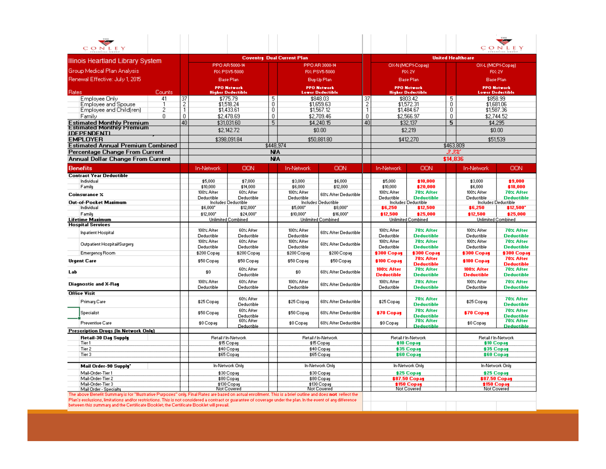| CONLEY                                                                                                                                                                                                                                                                                                                                                                                                               |                |                                   |                                        |                 |                          |                                     |                                               |                                 |                                                 |                  |                                          | CONLEY                                      |  |  |
|----------------------------------------------------------------------------------------------------------------------------------------------------------------------------------------------------------------------------------------------------------------------------------------------------------------------------------------------------------------------------------------------------------------------|----------------|-----------------------------------|----------------------------------------|-----------------|--------------------------|-------------------------------------|-----------------------------------------------|---------------------------------|-------------------------------------------------|------------------|------------------------------------------|---------------------------------------------|--|--|
|                                                                                                                                                                                                                                                                                                                                                                                                                      |                | <b>Coventry Dual Current Plan</b> |                                        |                 |                          |                                     |                                               |                                 |                                                 |                  | <b>United Healthcare</b>                 |                                             |  |  |
| Illinois Heartland Library System                                                                                                                                                                                                                                                                                                                                                                                    |                | PPO AR 5000-14<br>PPO AR 3000-14  |                                        |                 |                          | OX-N (MCP1-Copay)                   |                                               |                                 | OX-L (MCP1-Copay)                               |                  |                                          |                                             |  |  |
| <b>Group Medical Plan Analysis</b>                                                                                                                                                                                                                                                                                                                                                                                   |                |                                   | RX: PSV5-5000                          |                 |                          | RX: PSV5-5000                       |                                               |                                 | <b>RX:2V</b>                                    |                  | <b>RX:2V</b>                             |                                             |  |  |
| Renewal Effective: July 1, 2015                                                                                                                                                                                                                                                                                                                                                                                      |                |                                   | <b>Base Plan</b>                       |                 |                          | Buy-Up Plan                         |                                               |                                 | <b>Base Plan</b>                                |                  | <b>Base Plan</b>                         |                                             |  |  |
|                                                                                                                                                                                                                                                                                                                                                                                                                      |                |                                   | <b>PPO Network</b>                     |                 |                          | <b>PPO Network</b>                  |                                               |                                 | <b>PPO Network</b>                              |                  | <b>PPO Network</b>                       |                                             |  |  |
| Rates<br>Counts<br>Employee Only<br>41                                                                                                                                                                                                                                                                                                                                                                               |                |                                   | <b>Higher Deductible</b><br>\$775.79   | 5               |                          | <b>Lower Deductible</b><br>\$848.03 |                                               |                                 | <b>Higher Deductible</b><br>\$803.42            |                  | <b>Lower Deductible</b><br>\$858.99      |                                             |  |  |
| Employee and Spouse                                                                                                                                                                                                                                                                                                                                                                                                  | $\frac{37}{2}$ |                                   | \$1,518.24                             | 0               |                          | \$1,659.63                          | $\begin{array}{c}\n37 \\ 2 \\ 1\n\end{array}$ |                                 | \$1,572.31                                      | $\frac{5}{0}$    | \$1,681.06                               |                                             |  |  |
| Employee and Child(ren)<br>2                                                                                                                                                                                                                                                                                                                                                                                         |                |                                   | \$1,433.61                             | $\overline{0}$  |                          | \$1,567.12                          |                                               |                                 | \$1,484.67                                      | $\overline{0}$   | \$1,587.36                               |                                             |  |  |
| Family<br>0                                                                                                                                                                                                                                                                                                                                                                                                          | 0              |                                   | \$2,478.69                             | 0               |                          | \$2,709.46                          | 0                                             |                                 | \$2,566.97                                      | 0                | \$2,744.52                               |                                             |  |  |
| <b>Estimated Monthly Premium</b><br><b>Estimated Monthly Premium</b>                                                                                                                                                                                                                                                                                                                                                 | 40             |                                   | \$31,031.60                            | 5               |                          | \$4,240.15                          | 40                                            |                                 | \$32,137                                        | 5                | \$4,295                                  |                                             |  |  |
| <b>IDEPENDENTI</b>                                                                                                                                                                                                                                                                                                                                                                                                   |                |                                   | \$2,142.72                             |                 |                          | \$0.00                              |                                               |                                 | \$2,219                                         |                  | \$0.00                                   |                                             |  |  |
| <b>EMPLOYER</b>                                                                                                                                                                                                                                                                                                                                                                                                      |                |                                   | \$398,091.84                           |                 |                          | \$50,881.80                         |                                               |                                 | \$412,270                                       |                  |                                          | \$51,539                                    |  |  |
| <b>Estimated Annual Premium Combined</b>                                                                                                                                                                                                                                                                                                                                                                             |                |                                   |                                        | \$448,974<br>NA |                          |                                     |                                               |                                 |                                                 | \$463,809        |                                          |                                             |  |  |
| Percentage Change From Current<br>Annual Dollar Change From Current                                                                                                                                                                                                                                                                                                                                                  |                |                                   |                                        | <b>NA</b>       |                          |                                     |                                               |                                 |                                                 | 3.3%<br>\$14,836 |                                          |                                             |  |  |
|                                                                                                                                                                                                                                                                                                                                                                                                                      |                |                                   |                                        |                 |                          |                                     |                                               |                                 |                                                 |                  |                                          |                                             |  |  |
| <b>Benefits</b>                                                                                                                                                                                                                                                                                                                                                                                                      |                | In-Network                        | OON                                    |                 | <b>In-Network</b>        | OON                                 |                                               | In-Network                      | OON                                             |                  | <b>In-Network</b>                        | ΟΟΝ                                         |  |  |
| <b>Contract Year Deductible</b><br>Individual                                                                                                                                                                                                                                                                                                                                                                        |                | \$5,000                           | \$7,000                                |                 | \$3,000                  | \$6,000                             |                                               | \$5,000                         | \$10,000                                        |                  | \$3,000                                  | \$9,000                                     |  |  |
| Family                                                                                                                                                                                                                                                                                                                                                                                                               |                | \$10,000                          | \$14,000                               |                 | \$6,000                  | \$12,000                            |                                               | \$10,000                        | \$20,000                                        |                  | \$6,000                                  | \$18,000                                    |  |  |
| Coinsurance X                                                                                                                                                                                                                                                                                                                                                                                                        |                | 100% After                        | 60% After                              |                 | 100% After               | 60% After Deductible                |                                               | 100% After                      | 70% After                                       |                  | 100% After                               | 70% After                                   |  |  |
| Out-of-Pocket Mazimum                                                                                                                                                                                                                                                                                                                                                                                                |                | Deductible                        | Deductible<br>Includes Deductible      |                 | Deductible               | Includes Deductible                 |                                               | Deductible                      | <b>Deductible</b><br><b>Includes Deductible</b> |                  | Deductible<br><b>Includes Deductible</b> | <b>Deductible</b>                           |  |  |
| Individual                                                                                                                                                                                                                                                                                                                                                                                                           |                | \$6,000*                          | \$12,000                               |                 | \$5,000                  | \$8,000                             |                                               | \$6,250                         | \$12,500                                        |                  | \$6,250                                  | \$12,500                                    |  |  |
| Family<br><b>Lifetime Mazimum</b>                                                                                                                                                                                                                                                                                                                                                                                    |                | \$12,000*                         | \$24,000*<br><b>Unlimited Combined</b> |                 | \$10,000*                | \$16,000*<br>Unlimited Combined     |                                               | \$12,500                        | \$25,000<br><b>Unlimited Combined</b>           |                  | \$12,500                                 | \$25,000<br>Unlimited Combined              |  |  |
| <b>Hospital Services</b>                                                                                                                                                                                                                                                                                                                                                                                             |                |                                   |                                        |                 |                          |                                     |                                               |                                 |                                                 |                  |                                          |                                             |  |  |
| <b>Inpatient Hospital</b>                                                                                                                                                                                                                                                                                                                                                                                            |                | 100% After<br>Deductible          | 60% After<br>Deductible                |                 | 100% After<br>Deductible | 60% After Deductible                |                                               | 100% After<br>Deductible        | 70% After<br><b>Deductible</b>                  |                  | 100% After<br>Deductible                 | 70% After<br><b>Deductible</b>              |  |  |
| Outpatient Hospital/Surgery                                                                                                                                                                                                                                                                                                                                                                                          |                | 100% After<br>Deductible          | 60% After<br>Deductible                |                 | 100% After<br>Deductible | 60% After Deductible                |                                               | 100% After<br>Deductible        | 70% After<br><b>Deductible</b>                  |                  | 100% After<br>Deductible                 | 70% After<br><b>Deductible</b>              |  |  |
| <b>Emergency Room</b>                                                                                                                                                                                                                                                                                                                                                                                                |                | \$200 Copay                       | \$200 Copay                            |                 | \$200 Copay              | \$200 Copay                         |                                               | \$300 Copay                     | \$300 Copay                                     |                  | \$300 Copay                              | \$300 Copay                                 |  |  |
| <b>Urgent Care</b>                                                                                                                                                                                                                                                                                                                                                                                                   |                | \$50 Copay                        | \$50 Copay<br>60% After                |                 | \$50 Copay               | \$50 Copay                          |                                               | \$100 Copay<br>100% After       | 70% After<br><b>Deductible</b><br>70% After     |                  | \$100 Copay<br>100% After                | 70% After<br><b>Deductible</b><br>70% After |  |  |
| Lab                                                                                                                                                                                                                                                                                                                                                                                                                  |                | \$0                               | Deductible                             |                 | \$0                      | 60% After Deductible                |                                               | Deductible                      | <b>Deductible</b>                               |                  | <b>Deductible</b>                        | Deductible                                  |  |  |
| <b>Diagnostic and X-Ray</b>                                                                                                                                                                                                                                                                                                                                                                                          |                | 100% After<br>Deductible          | 60% After<br>Deductible                |                 | 100% After<br>Deductible | 60% After Deductible                |                                               | 100% After<br>Deductible        | 70% After<br><b>Deductible</b>                  |                  | 100% After<br>Deductible                 | 70% After<br><b>Deductible</b>              |  |  |
| <b>Office Visit</b>                                                                                                                                                                                                                                                                                                                                                                                                  |                |                                   |                                        |                 |                          |                                     |                                               |                                 |                                                 |                  |                                          |                                             |  |  |
| Primary Care                                                                                                                                                                                                                                                                                                                                                                                                         |                | \$25 Copay                        | 60% After<br>Deductible                |                 | \$25 Copay               | 60% After Deductible                |                                               | \$25 Copay                      | 70% After<br><b>Deductible</b>                  |                  | \$25 Copay                               | 70% After<br><b>Deductible</b>              |  |  |
| Specialist                                                                                                                                                                                                                                                                                                                                                                                                           |                | \$50 Copay                        | 60% After<br>Deductible                |                 | \$50 Copay               | 60% After Deductible                |                                               | \$70 Copay                      | 70% After<br><b>Deductible</b>                  |                  | \$70 Copay                               | 70% After<br><b>Deductible</b>              |  |  |
| <b>Preventive Care</b>                                                                                                                                                                                                                                                                                                                                                                                               |                | \$0 Copay                         | 60% After<br>Deductible                |                 | \$0 Copay                | 60% After Deductible                |                                               | \$0 Copay                       | 70% After<br><b>Deductible</b>                  |                  | \$0 Copay                                | 70% After<br><b>Deductible</b>              |  |  |
| <b>Prescription Drugs (In Network Only)</b>                                                                                                                                                                                                                                                                                                                                                                          |                |                                   |                                        |                 |                          |                                     |                                               |                                 |                                                 |                  |                                          |                                             |  |  |
| Retail-30 Day Supply<br>Tier 1                                                                                                                                                                                                                                                                                                                                                                                       |                |                                   | Retail / In-Network<br>\$15 Copay      |                 |                          | Retail / In-Network<br>\$15 Copay   |                                               |                                 | Retail / In-Network<br><b>\$10 Copay</b>        |                  | Retail / In-Network<br><b>\$10 Copay</b> |                                             |  |  |
| Tier 2                                                                                                                                                                                                                                                                                                                                                                                                               |                |                                   | \$40 Copay                             |                 |                          | \$40 Copay                          |                                               |                                 |                                                 |                  | \$35 Copay                               |                                             |  |  |
| Tier 3                                                                                                                                                                                                                                                                                                                                                                                                               |                |                                   | \$65 Copay                             |                 |                          | \$65 Copay                          |                                               | \$35 Copay<br><b>\$60 Copay</b> |                                                 |                  | <b>\$60 Copay</b>                        |                                             |  |  |
| Mail Order-90 Supply"                                                                                                                                                                                                                                                                                                                                                                                                |                |                                   | In-Network Only                        |                 |                          | In-Network Only                     |                                               |                                 | In-Network Only                                 |                  | In-Network Only                          |                                             |  |  |
| Mail-Order-Tier 1<br>Mail-Order-Tier 2                                                                                                                                                                                                                                                                                                                                                                               |                |                                   | \$30 Copay<br>\$80 Copay               |                 |                          | \$30 Copay<br>\$80 Copay            |                                               |                                 | \$25 Copay<br><b>\$87.50 Copay</b>              |                  | \$25 Copay<br><b>\$87.50 Copay</b>       |                                             |  |  |
| Mail-Order-Tier 3<br>Mail Order - Specialty                                                                                                                                                                                                                                                                                                                                                                          |                |                                   | \$130 Copay<br>Not Covered             |                 |                          | \$130 Copay<br><b>Not Covered</b>   | <b>\$150 Copay</b><br>Not Covered             |                                 |                                                 |                  | <b>\$150 Copay</b><br>Not Covered        |                                             |  |  |
| The above Benefit Summary is for "Illustrative Purposes" only. Final Rates are based on actual enrollment. This is a brief outline and does not reflect the<br>Plan's exclusions, limitations and/or restrictions. This is not considered a contract or guarantee of coverage under the plan. In the event of any difference<br>katuwan this summary and the Cartificate Pooklet the Cartificate Pooklet will prousi |                |                                   |                                        |                 |                          |                                     |                                               |                                 |                                                 |                  |                                          |                                             |  |  |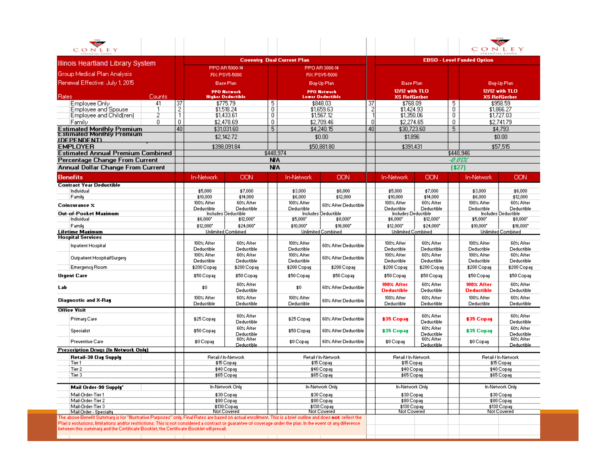| Illinois Heartland Library System                                                                                                                           |               |                          |                                                        |           | <b>Coventry Dual Current Plan</b> |                                   |                      |                                   |                         |                     | <b>EBSO - Level Funded Option</b> |                                   |
|-------------------------------------------------------------------------------------------------------------------------------------------------------------|---------------|--------------------------|--------------------------------------------------------|-----------|-----------------------------------|-----------------------------------|----------------------|-----------------------------------|-------------------------|---------------------|-----------------------------------|-----------------------------------|
|                                                                                                                                                             |               |                          | PPO AR 5000-14                                         |           |                                   | PPO AR 3000-14                    |                      |                                   |                         |                     |                                   |                                   |
| Group Medical Plan Analysis                                                                                                                                 |               |                          | RX: PSV5-5000<br>RX: PSV5-5000                         |           |                                   |                                   |                      |                                   |                         |                     |                                   |                                   |
| Renewal Effective: July 1, 2015                                                                                                                             |               |                          | <b>Base Plan</b>                                       |           |                                   | Buy-Up Plan                       |                      | <b>Base Plan</b>                  |                         |                     |                                   | Buy-Up Plan                       |
|                                                                                                                                                             |               |                          | <b>PPO Network</b>                                     |           |                                   | <b>PPO Network</b>                |                      | 12/12 with TLO                    |                         |                     |                                   | 12/12 with TLO                    |
| <b>Rates</b><br>Counts                                                                                                                                      |               |                          | <b>Higher Deductible</b>                               |           |                                   | <b>Lower Deductible</b>           |                      | <b>XS RelGerber</b>               |                         |                     |                                   | <b>XS RelGerber</b>               |
| 41<br>Employee Only                                                                                                                                         | 37            |                          | \$775.79                                               | 5         |                                   | \$848.03                          | -37                  | \$768.09                          |                         | 5                   |                                   | \$958.59                          |
| Employee and Spouse                                                                                                                                         | $\frac{2}{1}$ |                          | \$1,518.24                                             | 0<br>0    |                                   | \$1,659.63                        | $\frac{2}{1}$        | \$1,424.93                        |                         | $\overline{0}$<br>0 |                                   | \$1,866.27                        |
| Employee and Child(ren)<br>2<br>0                                                                                                                           | 0             |                          | \$1,433.61                                             | 0.        |                                   | \$1,567.12                        |                      | \$1,350.06                        |                         |                     |                                   | \$1,727.03                        |
| Family                                                                                                                                                      | 40            |                          | \$2,478.69                                             | 5         |                                   | \$2,709.46                        | $\overline{0}$<br>40 | \$2,274.65<br>\$30,723.60         |                         | 0<br>5              |                                   | \$2,741.79                        |
| <b>Estimated Monthly Premium</b><br><b>Estimated Monthly Premium</b>                                                                                        |               |                          | \$31,031.60                                            |           |                                   | \$4,240.15                        |                      |                                   |                         |                     |                                   | \$4,793                           |
| <b>IDEPENDENTI</b>                                                                                                                                          |               |                          | \$2,142.72                                             |           |                                   | \$0.00                            |                      | \$1,896                           |                         |                     |                                   | \$0.00                            |
| <b>EMPLOYER</b>                                                                                                                                             |               |                          | \$398,091.84                                           |           |                                   | \$50,881.80                       |                      | \$391,431                         |                         |                     |                                   | \$57,515                          |
| <b>Estimated Annual Premium Combined</b>                                                                                                                    |               |                          |                                                        | \$448,974 |                                   |                                   |                      |                                   |                         |                     | \$448,946                         |                                   |
| Percentage Change From Current                                                                                                                              |               |                          |                                                        | NA        |                                   |                                   |                      |                                   |                         | -0.01%              |                                   |                                   |
| Annual Dollar Change From Current                                                                                                                           |               |                          |                                                        | <b>NA</b> |                                   |                                   |                      |                                   |                         | [\$27]              |                                   |                                   |
| <b>Benefits</b>                                                                                                                                             |               | <b>In-Network</b>        | OON                                                    |           | <b>In-Network</b>                 | <b>OON</b>                        |                      | In-Network                        | OON                     |                     | In-Network                        | <b>OON</b>                        |
| <b>Contract Year Deductible</b>                                                                                                                             |               |                          |                                                        |           |                                   |                                   |                      |                                   |                         |                     |                                   |                                   |
| Individual                                                                                                                                                  |               | \$5,000                  | \$7,000                                                |           | \$3,000                           | \$6,000                           |                      | \$5,000                           | \$7,000                 |                     | \$3,000                           | \$6,000                           |
| Family                                                                                                                                                      |               | \$10,000                 | \$14,000                                               |           | \$6,000                           | \$12,000                          |                      | \$10,000                          | \$14,000                |                     | \$6,000                           | \$12,000                          |
| Coinsurance %                                                                                                                                               |               | 100% After<br>Deductible | 60% After<br>Deductible                                |           | 100% After<br>Deductible          | 60% After Deductible              |                      | 100% After<br>Deductible          | 60% After<br>Deductible |                     | 100% After<br>Deductible          | 60% After<br>Deductible           |
| Out-of-Pocket Mazimum                                                                                                                                       |               |                          | <b>Includes Deductible</b>                             |           |                                   | <b>Includes Deductible</b>        |                      | Includes Deductible               |                         |                     |                                   | Includes Deductible               |
| Individual                                                                                                                                                  |               | \$6,000*                 | \$12,000*                                              |           | \$5,000*                          | \$8,000*                          |                      | \$6,000                           | \$12,000*               |                     | \$5,000*                          | \$8,000                           |
| Family                                                                                                                                                      |               | \$12,000*                | \$24,000*                                              |           | \$10,000*                         | \$16,000*                         |                      | \$12,000*                         | \$24,000*               |                     | \$10,000*                         | \$16,000*                         |
| <b>Lifetime Mazimum</b><br><b>Hospital Services</b>                                                                                                         |               |                          | <b>Unlimited Combined</b>                              |           |                                   | Unlimited Combined                |                      | <b>Unlimited Combined</b>         |                         |                     |                                   | <b>Unlimited Combined</b>         |
| <b>Inpatient Hospital</b>                                                                                                                                   |               | 100% After               | 60% After                                              |           | 100% After                        | 60% After Deductible              |                      | 100% After                        | 60% After               |                     | 100% After                        | 60% After                         |
|                                                                                                                                                             |               | Deductible               | Deductible                                             |           | Deductible                        |                                   |                      | Deductible                        | Deductible              |                     | Deductible                        | Deductible                        |
| Outpatient Hospital/Surgery                                                                                                                                 |               | 100% After               | 60% After                                              |           | 100% After                        | 60% After Deductible              |                      | 100% After                        | 60% After               |                     | 100% After                        | 60% After                         |
|                                                                                                                                                             |               | Deductible               | Deductible                                             |           | Deductible                        |                                   |                      | Deductible                        | Deductible              |                     | Deductible                        | Deductible                        |
| Emergency Room                                                                                                                                              |               | \$200 Copay              | \$200 Copay                                            |           | \$200 Copay                       | \$200 Copay                       |                      | \$200 Copay                       | \$200 Copay             |                     | \$200 Copay                       | \$200 Copay                       |
| <b>Urgent Care</b>                                                                                                                                          |               | \$50 Copay               | \$50 Copay                                             |           | \$50 Copay                        | \$50 Copay                        |                      | \$50 Copay                        | \$50 Copay              |                     | \$50 Copay                        | \$50 Copay                        |
| Lab                                                                                                                                                         |               | \$0                      | 60% After<br>Deductible                                |           | \$0                               | 60% After Deductible              |                      | 100% After<br><b>Deductible</b>   | 60% After<br>Deductible |                     | 100% After<br><b>Deductible</b>   | 60% After<br>Deductible           |
| Diagnostic and X-Ray                                                                                                                                        |               | 100% After               | 60% After                                              |           | 100% After                        | 60% After Deductible              |                      | 100% After                        | 60% After               |                     | 100% After                        | 60% After                         |
|                                                                                                                                                             |               | Deductible               | Deductible                                             |           | Deductible                        |                                   |                      | Deductible                        | Deductible              |                     | Deductible                        | Deductible                        |
| <b>Office Visit</b>                                                                                                                                         |               |                          | 60% After                                              |           |                                   |                                   |                      |                                   | 60% After               |                     |                                   | 60% After                         |
| Primary Care                                                                                                                                                |               | \$25 Copay               | Deductible<br>60% After                                |           | \$25 Copay                        | 60% After Deductible              |                      | <b>\$35 Copay</b>                 | Deductible<br>60% After |                     | <b>\$35 Copay</b>                 | Deductible<br>60% After           |
| Specialist                                                                                                                                                  |               | \$50 Copay               | Deductible<br>60% After                                |           | \$50 Copay                        | 60% After Deductible              |                      | \$35 Copay                        | Deductible<br>60% After |                     | <b>\$35 Copay</b>                 | Deductible<br>60% After           |
| <b>Preventive Care</b>                                                                                                                                      |               | \$0 Copay                | Deductible                                             |           | \$0 Copay                         | 60% After Deductible              |                      | \$0 Copay                         | Deductible              |                     | \$0 Copay                         | Deductible                        |
| <b>Prescription Drugs (In Network Only)</b>                                                                                                                 |               |                          |                                                        |           |                                   |                                   |                      |                                   |                         |                     |                                   |                                   |
| Retail-30 Day Supply<br>Tier 1                                                                                                                              |               |                          | Retail / In-Network<br>\$15 Copay                      |           |                                   | Retail / In-Network<br>\$15 Copay |                      | Retail / In-Network<br>\$15 Copay |                         |                     |                                   | Retail / In-Network<br>\$15 Copay |
| Tier 2                                                                                                                                                      |               |                          | \$40 Copay                                             |           |                                   | \$40 Copay                        |                      | \$40 Copay                        |                         |                     |                                   | \$40 Copay                        |
| Tier 3                                                                                                                                                      |               |                          | \$65 Copay                                             |           |                                   | \$65 Copay                        |                      | \$65 Copay                        |                         |                     |                                   | \$65 Copay                        |
|                                                                                                                                                             |               |                          |                                                        |           |                                   |                                   |                      |                                   |                         |                     |                                   |                                   |
| Mail Order-90 Supply"                                                                                                                                       |               |                          | In-Network Only                                        |           |                                   | In-Network Only                   |                      | In-Network Only                   |                         |                     |                                   | In-Network Only                   |
| Mail-Order-Tier 1                                                                                                                                           |               |                          | \$30 Copay<br>\$30 Copay                               |           |                                   | \$30 Copay                        |                      |                                   |                         | \$30 Copay          |                                   |                                   |
| Mail-Order-Tier 2                                                                                                                                           |               |                          | \$80 Copay<br>\$80 Copay<br>\$130 Copay<br>\$130 Copay |           |                                   | \$80 Copay                        |                      |                                   | \$80 Copay              |                     |                                   |                                   |
| Mail-Order-Tier 3<br>Mail Order - Specialty                                                                                                                 |               |                          | Not Covered                                            |           |                                   | Not Covered                       |                      | \$130 Copay<br>Not Covered        |                         |                     |                                   | \$130 Copay<br>Not Covered        |
| The above Benefit Summary is for "Illustrative Purposes" only. Final Rates are based on actual enrollment. This is a brief outline and does not reflect the |               |                          |                                                        |           |                                   |                                   |                      |                                   |                         |                     |                                   |                                   |

Π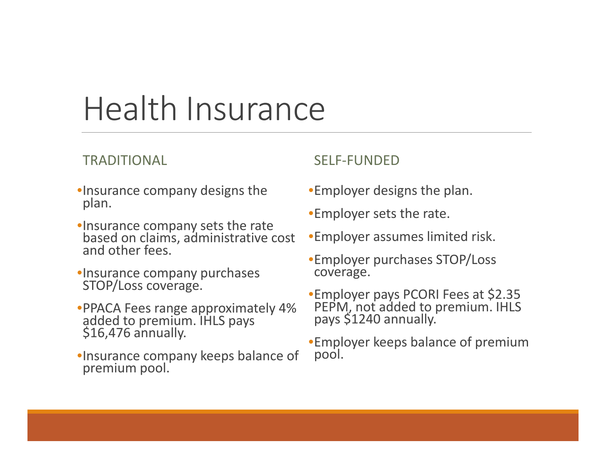## Health Insurance

#### TRADITIONAL

- •Insurance company designs the plan.
- •Insurance company sets the rate based on claims, administrative cost and other fees.
- •Insurance company purchases STOP/Loss coverage.
- •PPACA Fees range approximately 4%<br>added to premium. IHLS pays<br>\$16,476 annually.
- •Insurance company keeps balance of premium pool.

#### SELF‐FUNDED

- •Employer designs the plan.
- •Employer sets the rate.
- •Employer assumes limited risk.
- •Employer purchases STOP/Loss coverage.
- •Employer pays PCORI Fees at \$2.35 PEPM, not added to premium. IHLS pays \$1240 annually.
- •Employer keeps balance of premium pool.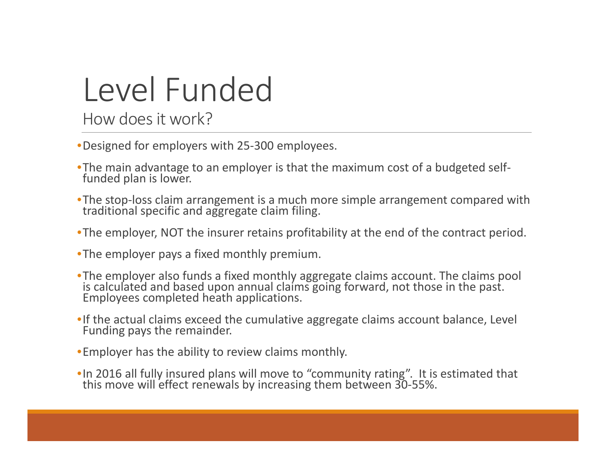# Level Funded

How doesit work?

- •Designed for employers with 25‐300 employees.
- •The main advantage to an employer is that the maximum cost of a budgeted self-<br>funded plan is lower. funded plan is lower.
- •The stop-loss claim arrangement is a much more simple arrangement compared with traditional specific and aggregate claim filing. traditional specific and aggregate claim filing.
- •The employer, NOT the insurer retains profitability at the end of the contract period.
- •The employer pays <sup>a</sup> fixed monthly premium.
- •The employer also funds <sup>a</sup> fixed monthly aggregate claims account. The claims pool is calculated and based upon annual claims going forward, not those in the past.<br>Employees completed heath applications.
- •If the actual claims exceed the cumulative aggregate claims account balance, Level Funding pays the remainder.
- •Employer has the ability to review claims monthly.
- •In 2016 all fully insured plans will move to "community rating". It is estimated that<br>this move will effect renewals by increasing them between 30-55%. move will effect renewals by increasing them between 30‐55%.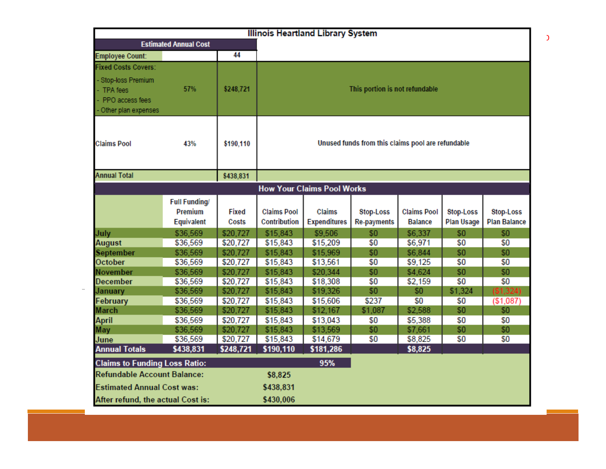| <b>Illinois Heartland Library System</b>                                  |                                                      |                |                                                   |                                   |                                 |                                      |                                |                                  |  |  |  |
|---------------------------------------------------------------------------|------------------------------------------------------|----------------|---------------------------------------------------|-----------------------------------|---------------------------------|--------------------------------------|--------------------------------|----------------------------------|--|--|--|
|                                                                           | <b>Estimated Annual Cost</b>                         |                |                                                   |                                   |                                 |                                      |                                |                                  |  |  |  |
| <b>Employee Count:</b>                                                    |                                                      | 44             |                                                   |                                   |                                 |                                      |                                |                                  |  |  |  |
| <b>Fixed Costs Covers:</b>                                                |                                                      |                |                                                   |                                   |                                 |                                      |                                |                                  |  |  |  |
| Stop-loss Premium<br>- TPA fees<br>PPO access fees<br>Other plan expenses | 57%                                                  | \$248,721      | This portion is not refundable                    |                                   |                                 |                                      |                                |                                  |  |  |  |
| <b>Claims Pool</b>                                                        | 43%                                                  | \$190,110      | Unused funds from this claims pool are refundable |                                   |                                 |                                      |                                |                                  |  |  |  |
| <b>Annual Total</b>                                                       |                                                      | \$438,831      |                                                   |                                   |                                 |                                      |                                |                                  |  |  |  |
|                                                                           |                                                      |                |                                                   | <b>How Your Claims Pool Works</b> |                                 |                                      |                                |                                  |  |  |  |
|                                                                           | <b>Full Funding/</b><br><b>Premium</b><br>Equivalent | Fixed<br>Costs | <b>Claims Pool</b><br>Contribution                | Claims<br><b>Expenditures</b>     | Stop-Loss<br><b>Re-payments</b> | <b>Claims Pool</b><br><b>Balance</b> | Stop-Loss<br><b>Plan Usage</b> | Stop-Loss<br><b>Plan Balance</b> |  |  |  |
| July                                                                      | \$36,569                                             | \$20,727       | \$15,843                                          | \$9,506                           | \$0                             | \$6,337                              | \$0                            | \$0                              |  |  |  |
| <b>August</b>                                                             | \$36,569                                             | \$20,727       | \$15,843                                          | \$15,209                          | \$0                             | \$6,971                              | \$0                            | \$0                              |  |  |  |
| September                                                                 | \$36,569                                             | \$20,727       | \$15,843                                          | \$15,969                          | \$0                             | \$6,844                              | \$0                            | \$0                              |  |  |  |
| October                                                                   | \$36,569                                             | \$20,727       | \$15,843                                          | \$13,561                          | \$0                             | \$9,125                              | \$0                            | \$0                              |  |  |  |
| <b>November</b>                                                           | \$36,569                                             | \$20,727       | \$15,843                                          | \$20,344                          | \$0                             | \$4,624                              | \$0                            | \$0                              |  |  |  |
| <b>December</b>                                                           | \$36,569                                             | \$20,727       | \$15,843                                          | \$18,308                          | \$0                             | \$2,159                              | \$0                            | \$0                              |  |  |  |
| January                                                                   | \$36,569                                             | \$20,727       | \$15,843                                          | \$19,326                          | \$0                             | \$0                                  | \$1,324                        | (S1, 324)                        |  |  |  |
| February                                                                  | \$36,569                                             | \$20,727       | \$15,843                                          | \$15,606                          | \$237                           | \$0                                  | \$0                            | (\$1,087)                        |  |  |  |
| <b>March</b>                                                              | \$36,569                                             | \$20,727       | \$15,843                                          | \$12,167                          | \$1,087                         | \$2,588                              | \$0                            | \$0                              |  |  |  |
| <b>April</b>                                                              | \$36,569                                             | \$20,727       | \$15,843                                          | \$13,043                          | \$0                             | \$5,388                              | \$0                            | \$0                              |  |  |  |
| May                                                                       | \$36,569                                             | \$20,727       | \$15,843                                          | \$13,569                          | \$0                             | \$7,661                              | \$0                            | \$0                              |  |  |  |
| June                                                                      | \$36,569                                             | \$20,727       | \$15,843                                          | \$14,679                          | \$0                             | \$8,825                              | \$0                            | \$0                              |  |  |  |
| <b>Annual Totals</b>                                                      | \$438,831                                            | \$248,721      | \$190,110                                         | \$181,286                         |                                 | \$8,825                              |                                |                                  |  |  |  |
| <b>Claims to Funding Loss Ratio:</b>                                      |                                                      |                |                                                   | 95%                               |                                 |                                      |                                |                                  |  |  |  |
| <b>Refundable Account Balance:</b>                                        |                                                      |                | \$8,825                                           |                                   |                                 |                                      |                                |                                  |  |  |  |
| <b>Estimated Annual Cost was:</b>                                         |                                                      |                | \$438,831                                         |                                   |                                 |                                      |                                |                                  |  |  |  |
| After refund, the actual Cost is:                                         | \$430,006                                            |                |                                                   |                                   |                                 |                                      |                                |                                  |  |  |  |

 $\mathfrak I$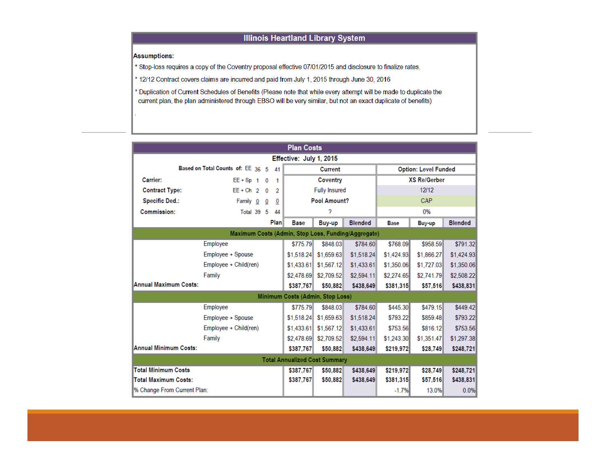#### **Illinois Heartland Library System**

Assumptions:

\* Stop-loss requires a copy of the Coventry proposal effective 07/01/2015 and disclosure to finalize rates.

\* 12/12 Contract covers claims are incurred and paid from July 1, 2015 through June 30, 2016

\* Duplication of Current Schedules of Benefits (Please note that while every attempt will be made to duplicate the current plan, the plan administered through EBSO will be very similar, but not an exact duplicate of benefits)

| <b>Plan Costs</b>           |                                                     |      |             |                                      |                |             |                             |                |  |  |
|-----------------------------|-----------------------------------------------------|------|-------------|--------------------------------------|----------------|-------------|-----------------------------|----------------|--|--|
| Effective: July 1, 2015     |                                                     |      |             |                                      |                |             |                             |                |  |  |
|                             | Based on Total Counts of: EE 36 5                   | 41   |             | Current                              |                |             | <b>Option: Level Funded</b> |                |  |  |
| Carrier:                    | $EE + Sp 1 0$                                       | 1    |             | Coventry                             |                |             | <b>XS Re/Gerber</b>         |                |  |  |
| <b>Contract Type:</b>       | $EE + Ch$ 2 0                                       | 2    |             | <b>Fully Insured</b>                 |                |             | 12/12                       |                |  |  |
| <b>Specific Ded.:</b>       | Family 0<br>0                                       | 0    |             | Pool Amount?                         |                |             | CAP                         |                |  |  |
| Commission:                 | Total 39 5                                          | 44   |             | 2                                    |                |             | 0%                          |                |  |  |
|                             |                                                     | Plan | <b>Base</b> | Buy-up                               | <b>Blended</b> | <b>Base</b> | Buy-up                      | <b>Blended</b> |  |  |
|                             | Maximum Costs (Admin, Stop Loss, Funding/Aggregate) |      |             |                                      |                |             |                             |                |  |  |
|                             | Employee                                            |      | \$775.79    | \$848.03                             | \$784.60       | \$768.09    | \$958.59                    | \$791.32       |  |  |
|                             | Employee + Spouse                                   |      | \$1,518.24  | \$1,659.63                           | \$1,518.24     | \$1,424.93  | \$1,866.27                  | \$1,424.93     |  |  |
|                             | Employee + Child(ren)                               |      | \$1,433.61  | \$1,567.12                           | \$1,433.61     | \$1,350.06  | \$1,727.03                  | \$1,350.06     |  |  |
|                             | Family                                              |      | \$2,478.69  | \$2,709.52                           | \$2,594.11     | \$2.274.65  | \$2,741.79                  | \$2,508.22     |  |  |
| Annual Maximum Costs:       |                                                     |      | \$387.767   | \$50.882                             | \$438.649      | \$381,315   | \$57,516                    | \$438,831      |  |  |
|                             |                                                     |      |             | Minimum Costs (Admin, Stop Loss)     |                |             |                             |                |  |  |
|                             | Employee                                            |      | \$775.79    | \$848.03                             | \$784.60       | \$445.30    | \$479.15                    | \$449.42       |  |  |
|                             | Employee + Spouse                                   |      | \$1,518.24  | \$1,659.63                           | \$1,518.24     | \$793.22    | \$859.48                    | \$793.22       |  |  |
|                             | Employee + Child(ren)                               |      | \$1,433.61  | \$1,567.12                           | \$1,433.61     | \$753.56    | \$816.12                    | \$753.56       |  |  |
|                             | Family                                              |      | \$2,478.69  | \$2,709.52                           | \$2,594.11     | \$1.243.30  | \$1,351,47                  | \$1,297.38     |  |  |
| Annual Minimum Costs:       |                                                     |      | \$387.767   | \$50,882                             | \$438,649      | \$219,972   | \$28,749                    | \$248,721      |  |  |
|                             |                                                     |      |             | <b>Total Annualized Cost Summary</b> |                |             |                             |                |  |  |
| <b>Total Minimum Costs</b>  |                                                     |      | \$387.767   | \$50,882                             | \$438,649      | \$219,972   | \$28,749                    | \$248,721      |  |  |
| <b>Total Maximum Costs:</b> |                                                     |      | \$387,767   | \$50,882                             | \$438,649      | \$381,315   | \$57,516                    | \$438,831      |  |  |
| % Change From Current Plan: |                                                     |      |             |                                      |                | $-1.7%$     | 13.0%                       | 0.0%           |  |  |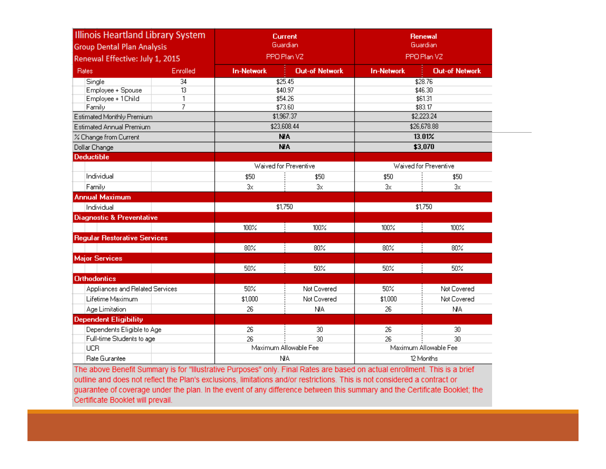| <b>Illinois Heartland Library System</b><br><b>Group Dental Plan Analysis</b> |          |                   | <b>Current</b><br>Guardian |                   | <b>Renewal</b><br>Guardian |  |  |  |
|-------------------------------------------------------------------------------|----------|-------------------|----------------------------|-------------------|----------------------------|--|--|--|
| Renewal Effective: July 1, 2015                                               |          |                   | PPO Plan VZ                |                   | PPO Plan VZ                |  |  |  |
| <b>Rates</b>                                                                  | Enrolled | <b>In-Network</b> | <b>Out-of Network</b>      | <b>In-Network</b> | <b>Out-of Network</b>      |  |  |  |
| Single                                                                        | 34       |                   | \$25.45                    | \$28.76           |                            |  |  |  |
| Employee + Spouse                                                             | 13       |                   | \$40.97                    |                   | \$46.30                    |  |  |  |
| Employee + 1Child                                                             | 1        |                   | \$54.26                    |                   | \$61.31                    |  |  |  |
| Family                                                                        | 7        |                   | \$73.60                    |                   | \$83.17<br>\$2,223.24      |  |  |  |
| Estimated Monthly Premium                                                     |          |                   | \$1,967.37                 |                   |                            |  |  |  |
| <b>Estimated Annual Premium</b>                                               |          |                   | \$23,608.44                |                   | \$26,678.88                |  |  |  |
| % Change from Current                                                         |          |                   | <b>NA</b>                  |                   | 13.01%                     |  |  |  |
| Dollar Change                                                                 |          |                   | <b>NA</b>                  |                   | \$3,070                    |  |  |  |
| <b>Deductible</b>                                                             |          |                   | Waived for Preventive      |                   | Waived for Preventive      |  |  |  |
| Individual                                                                    |          |                   |                            |                   |                            |  |  |  |
|                                                                               |          | \$50              | \$50                       | \$50              | \$50                       |  |  |  |
| Family                                                                        |          | 3x                | 3x                         | 3x                | 3x                         |  |  |  |
| <b>Annual Maximum</b>                                                         |          |                   | \$1,750                    |                   | \$1,750                    |  |  |  |
| Individual                                                                    |          |                   |                            |                   |                            |  |  |  |
| <b>Diagnostic &amp; Preventative</b>                                          |          |                   |                            |                   |                            |  |  |  |
|                                                                               |          | 100%              | 100%                       | 100%              | 100%                       |  |  |  |
| <b>Regular Restorative Services</b>                                           |          |                   |                            |                   |                            |  |  |  |
|                                                                               |          | 80%               | 80%                        | 80%               | 80%                        |  |  |  |
| <b>Major Services</b>                                                         |          |                   |                            |                   |                            |  |  |  |
|                                                                               |          | 50%               | 50%                        | 50%               | 50%                        |  |  |  |
| <b>Orthodontics</b>                                                           |          |                   |                            |                   |                            |  |  |  |
| Appliances and Related Services                                               |          | 50%               | Not Covered                | 50%               | Not Covered                |  |  |  |
| Lifetime Maximum                                                              |          | \$1,000           | Not Covered                | \$1,000           | Not Covered                |  |  |  |
| Age Limitation                                                                |          | 26                | <b>NA</b>                  | 26                | <b>NA</b>                  |  |  |  |
| <b>Dependent Eligibility</b>                                                  |          |                   |                            |                   |                            |  |  |  |
| Dependents Eligible to Age                                                    |          | 26                | 30                         | 26                | 30                         |  |  |  |
| Full-time Students to age                                                     |          | 26                | 30.                        | 26                | 30.                        |  |  |  |
| <b>UCR</b>                                                                    |          |                   | Maximum Allowable Fee      |                   | Maximum Allowable Fee      |  |  |  |
| Rate Gurantee                                                                 |          |                   | NA.                        | 12 Months         |                            |  |  |  |

The above Benefit Summary is for "Illustrative Purposes" only. Final Rates are based on actual enrollment. This is a brief outline and does not reflect the Plan's exclusions, limitations and/or restrictions. This is not considered a contract or guarantee of coverage under the plan. In the event of any difference between this summary and the Certificate Booklet; the Certificate Booklet will prevail.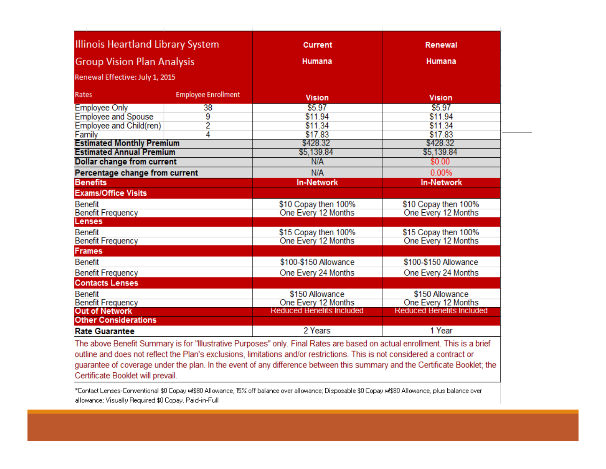| Illinois Heartland Library System   |    | <b>Current</b>                                                                                                             | <b>Renewal</b>                   |  |  |
|-------------------------------------|----|----------------------------------------------------------------------------------------------------------------------------|----------------------------------|--|--|
| <b>Group Vision Plan Analysis</b>   |    | Humana                                                                                                                     | Humana                           |  |  |
| Renewal Effective: July 1, 2015     |    |                                                                                                                            |                                  |  |  |
| <b>Employee Enrollment</b><br>Rates |    | <b>Vision</b>                                                                                                              | <b>Vision</b>                    |  |  |
| <b>Employee Only</b>                | 38 | \$5.97                                                                                                                     | \$5.97                           |  |  |
| <b>Employee and Spouse</b>          | 9  | \$11.94                                                                                                                    | \$11.94                          |  |  |
| Employee and Child(ren)             | 2  | \$11.34                                                                                                                    | \$11.34                          |  |  |
| Family                              | 4  | \$17.83                                                                                                                    | \$17.83                          |  |  |
| <b>Estimated Monthly Premium</b>    |    | \$428.32                                                                                                                   | \$428.32                         |  |  |
| <b>Estimated Annual Premium</b>     |    | \$5,139.84                                                                                                                 | \$5,139.84                       |  |  |
| Dollar change from current          |    | N/A                                                                                                                        | \$0.00                           |  |  |
| Percentage change from current      |    | N/A                                                                                                                        | 0.00%                            |  |  |
| <b>Benefits</b>                     |    | <b>In-Network</b>                                                                                                          | <b>In-Network</b>                |  |  |
| <b>Exams/Office Visits</b>          |    |                                                                                                                            |                                  |  |  |
| <b>Benefit</b>                      |    | \$10 Copay then 100%                                                                                                       | \$10 Copay then 100%             |  |  |
| <b>Benefit Frequency</b>            |    | One Every 12 Months                                                                                                        | One Every 12 Months              |  |  |
| <b>Lenses</b>                       |    |                                                                                                                            |                                  |  |  |
| <b>Benefit</b>                      |    | \$15 Copay then 100%                                                                                                       | \$15 Copay then 100%             |  |  |
| <b>Benefit Frequency</b>            |    | One Every 12 Months                                                                                                        | One Every 12 Months              |  |  |
| <b>Frames</b>                       |    |                                                                                                                            |                                  |  |  |
| <b>Benefit</b>                      |    | \$100-\$150 Allowance                                                                                                      | \$100-\$150 Allowance            |  |  |
| <b>Benefit Frequency</b>            |    | One Every 24 Months                                                                                                        | One Every 24 Months              |  |  |
| <b>Contacts Lenses</b>              |    |                                                                                                                            |                                  |  |  |
| <b>Benefit</b>                      |    | \$150 Allowance                                                                                                            | \$150 Allowance                  |  |  |
| <b>Benefit Frequency</b>            |    | One Every 12 Months                                                                                                        | One Every 12 Months              |  |  |
| <b>Out of Network</b>               |    | <b>Reduced Benefits Included</b>                                                                                           | <b>Reduced Benefits Included</b> |  |  |
| <b>Other Considerations</b>         |    |                                                                                                                            |                                  |  |  |
|                                     |    | 2 Years                                                                                                                    | 1 Year                           |  |  |
| <b>Rate Guarantee</b>               |    | The above Benefit Summary is for "Illustrative Purposes" only. Final Rates are based on actual enrollment. This is a brief |                                  |  |  |

outline and does not reflect the Plan's exclusions, limitations and/or restrictions. This is not considered a contract or guarantee of coverage under the plan. In the event of any difference between this summary and the Certificate Booklet; the Certificate Booklet will prevail.

\*Contact Lenses-Conventional \$0 Copay w/\$80 Allowance, 15% off balance over allowance; Disposable \$0 Copay w/\$80 Allowance, plus balance over allowance; Visually Required \$0 Copay, Paid-in-Full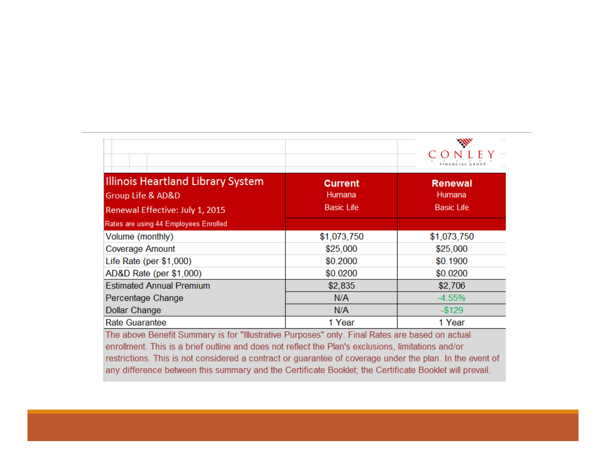|                                       |                   | Alb               |
|---------------------------------------|-------------------|-------------------|
| Illinois Heartland Library System     | <b>Current</b>    | <b>Renewal</b>    |
| <b>Group Life &amp; AD&amp;D</b>      | Humana            | Humana            |
| Renewal Effective: July 1, 2015       | <b>Basic Life</b> | <b>Basic Life</b> |
| Rates are using 44 Employees Enrolled |                   |                   |
| Volume (monthly)                      | \$1,073,750       | \$1,073,750       |
| <b>Coverage Amount</b>                | \$25,000          | \$25,000          |
| Life Rate (per \$1,000)               | \$0.2000          | \$0.1900          |
| AD&D Rate (per \$1,000)               | \$0.0200          | \$0.0200          |
| <b>Estimated Annual Premium</b>       | \$2,835           | \$2,706           |
| Percentage Change                     | N/A               | $-4.55%$          |
| <b>Dollar Change</b>                  | N/A               | $-$ \$129         |
| <b>Rate Guarantee</b>                 | 1 Year            | 1 Year            |

The above Benefit Summary is for "Illustrative Purposes" only. Final Rates are based on actual enrollment. This is a brief outline and does not reflect the Plan's exclusions, limitations and/or restrictions. This is not considered a contract or guarantee of coverage under the plan. In the event of any difference between this summary and the Certificate Booklet; the Certificate Booklet will prevail.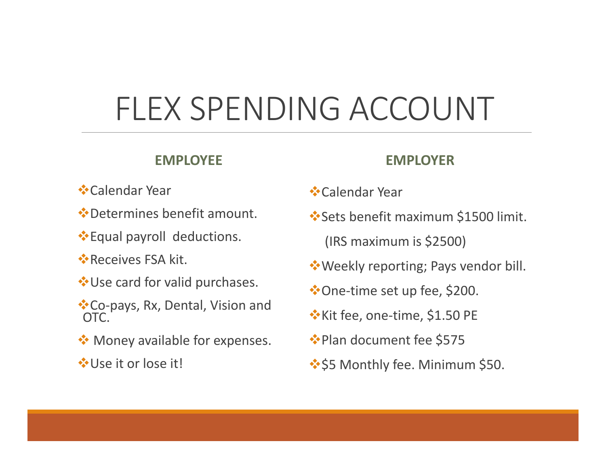# FLEX SPENDING ACCOUNT

#### **EMPLOYEE**

#### **EMPLOYER**

- **<sup>❖</sup>Calendar Year**
- Determines benefit amount.
- **Equal payroll deductions.**
- **Receives FSA kit.**
- **<sup>◆</sup>Use card for valid purchases.**
- Co‐pays, Rx, Dental, Vision and OTC.
- **Money available for expenses.**
- **☆Use it or lose it!**
- Calendar Year
- **<sup>❖</sup>Sets benefit maximum \$1500 limit.** 
	- (IRS maximum is \$2500)
- **Weekly reporting; Pays vendor bill.**
- One‐time set up fee, \$200.
- Kit fee, one‐time, \$1.50 PE
- ◆Plan document fee \$575
- ❖\$5 Monthly fee. Minimum \$50.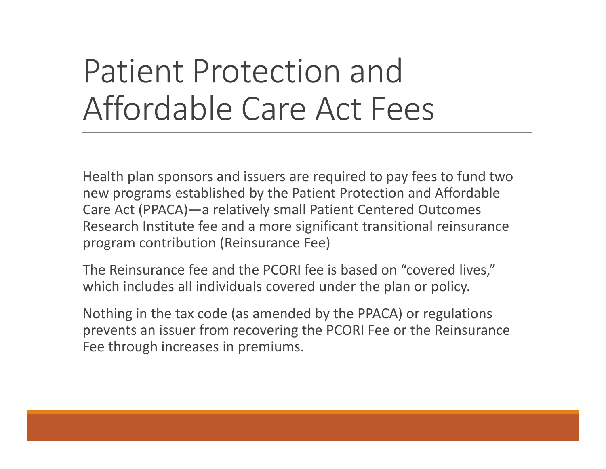# Patient Protection and Affordable Care Act Fees

Health plan sponsors and issuers are required to pay fees to fund two new programs established by the Patient Protection and Affordable Care Act (PPACA)—a relatively small Patient Centered Outcomes Research Institute fee and <sup>a</sup> more significant transitional reinsurance program contribution (Reinsurance Fee)

The Reinsurance fee and the PCORI fee is based on "covered lives," which includes all individuals covered under the plan or policy.

Nothing in the tax code (as amended by the PPACA) or regulations prevents an issuer from recovering the PCORI Fee or the Reinsurance Fee through increases in premiums.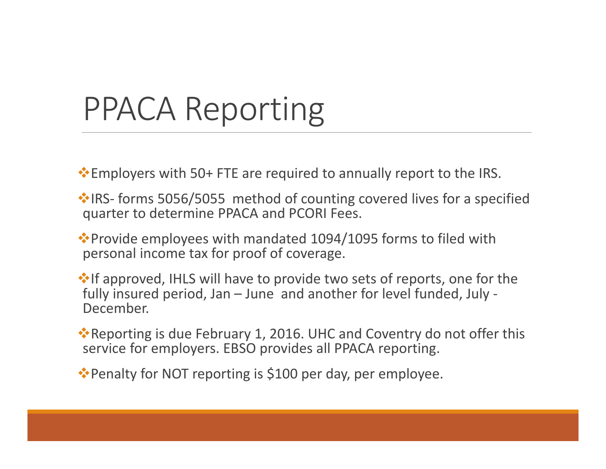# PPACA Reporting

**Employers with 50+ FTE are required to annually report to the IRS.** 

**\* IRS-** forms 5056/5055 method of counting covered lives for a specified quarter to determine PPACA and PCORI Fees.

◆ Provide employees with mandated 1094/1095 forms to filed with personal income tax for proof of coverage.

**\*** If approved, IHLS will have to provide two sets of reports, one for the fully insured period, Jan – June and another for level funded, July ‐ December.

\*Reporting is due February 1, 2016. UHC and Coventry do not offer this service for employers. EBSO provides all PPACA reporting.

\*Penalty for NOT reporting is \$100 per day, per employee.